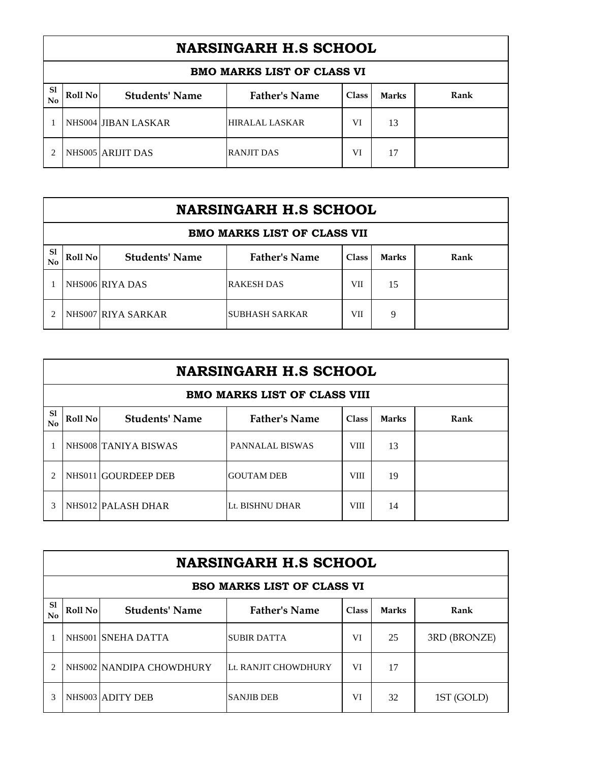|                     | <b>BMO MARKS LIST OF CLASS VI</b> |                       |                      |              |              |      |  |  |  |
|---------------------|-----------------------------------|-----------------------|----------------------|--------------|--------------|------|--|--|--|
| <sub>S1</sub><br>No | Roll No                           | <b>Students' Name</b> | <b>Father's Name</b> | <b>Class</b> | <b>Marks</b> | Rank |  |  |  |
|                     |                                   | NHS004 JIBAN LASKAR   | HIRALAL LASKAR       | VI           | 13           |      |  |  |  |
|                     |                                   | NHS005 ARIJIT DAS     | <b>RANJIT DAS</b>    | VI           | 17           |      |  |  |  |

|                                    | <b>NARSINGARH H.S SCHOOL</b> |                       |                       |              |              |      |  |  |  |
|------------------------------------|------------------------------|-----------------------|-----------------------|--------------|--------------|------|--|--|--|
| <b>BMO MARKS LIST OF CLASS VII</b> |                              |                       |                       |              |              |      |  |  |  |
| <sub>S1</sub><br>No                | Roll No                      | <b>Students' Name</b> | <b>Father's Name</b>  | <b>Class</b> | <b>Marks</b> | Rank |  |  |  |
|                                    |                              | NHS006 RIYA DAS       | <b>RAKESH DAS</b>     | VII          | 15           |      |  |  |  |
| $\mathfrak{D}$                     |                              | NHS007 RIYA SARKAR    | <b>SUBHASH SARKAR</b> | VП           | 9            |      |  |  |  |

|                                                                                                      | <b>NARSINGARH H.S SCHOOL</b>        |                      |                        |             |    |      |  |  |  |
|------------------------------------------------------------------------------------------------------|-------------------------------------|----------------------|------------------------|-------------|----|------|--|--|--|
|                                                                                                      | <b>BMO MARKS LIST OF CLASS VIII</b> |                      |                        |             |    |      |  |  |  |
| S1<br><b>Father's Name</b><br>Roll No<br><b>Students' Name</b><br><b>Class</b><br><b>Marks</b><br>No |                                     |                      |                        |             |    | Rank |  |  |  |
|                                                                                                      |                                     | NHS008 TANIYA BISWAS | <b>PANNALAL BISWAS</b> | <b>VIII</b> | 13 |      |  |  |  |
| $\overline{c}$                                                                                       |                                     | NHS011 GOURDEEP DEB  | <b>GOUTAM DEB</b>      | <b>VIII</b> | 19 |      |  |  |  |
| 3                                                                                                    |                                     | NHS012 PALASH DHAR   | Lt. BISHNU DHAR        | <b>VIII</b> | 14 |      |  |  |  |

|                                                                                                              | <b>NARSINGARH H.S SCHOOL</b> |                          |                                   |    |    |              |  |  |
|--------------------------------------------------------------------------------------------------------------|------------------------------|--------------------------|-----------------------------------|----|----|--------------|--|--|
|                                                                                                              |                              |                          | <b>BSO MARKS LIST OF CLASS VI</b> |    |    |              |  |  |
| S1<br><b>Father's Name</b><br><b>Students' Name</b><br>Roll No<br>Rank<br><b>Class</b><br><b>Marks</b><br>No |                              |                          |                                   |    |    |              |  |  |
|                                                                                                              |                              | NHS001 SNEHA DATTA       | <b>SUBIR DATTA</b>                | VI | 25 | 3RD (BRONZE) |  |  |
|                                                                                                              |                              | NHS002 NANDIPA CHOWDHURY | Lt. RANJIT CHOWDHURY              | VI | 17 |              |  |  |
| 3                                                                                                            |                              | NHS003 ADITY DEB         | <b>SANJIB DEB</b>                 | VI | 32 | 1ST (GOLD)   |  |  |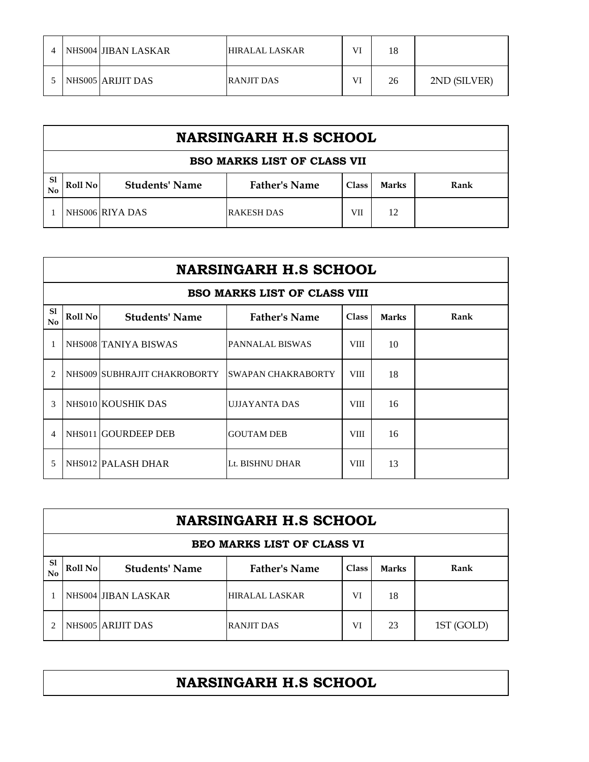| 4 | NHS004 JIBAN LASKAR | <b>HIRALAL LASKAR</b> | VI | 18 |              |
|---|---------------------|-----------------------|----|----|--------------|
|   | NHS005 ARIJIT DAS   | <b>RANJIT DAS</b>     | VI | 26 | 2ND (SILVER) |

|                                 | <b>NARSINGARH H.S SCHOOL</b>       |                       |                      |              |              |      |  |  |
|---------------------------------|------------------------------------|-----------------------|----------------------|--------------|--------------|------|--|--|
|                                 | <b>BSO MARKS LIST OF CLASS VII</b> |                       |                      |              |              |      |  |  |
| <sub>S1</sub><br>N <sub>0</sub> | Roll No                            | <b>Students' Name</b> | <b>Father's Name</b> | <b>Class</b> | <b>Marks</b> | Rank |  |  |
|                                 |                                    | NHS006 RIYA DAS       | RAKESH DAS           | VII          | 12           |      |  |  |

|                             | <b>NARSINGARH H.S SCHOOL</b> |                              |                                     |              |              |      |  |  |  |
|-----------------------------|------------------------------|------------------------------|-------------------------------------|--------------|--------------|------|--|--|--|
|                             |                              |                              | <b>BSO MARKS LIST OF CLASS VIII</b> |              |              |      |  |  |  |
| S1<br>No                    | Roll No                      | <b>Students' Name</b>        | <b>Father's Name</b>                | <b>Class</b> | <b>Marks</b> | Rank |  |  |  |
|                             |                              | NHS008 TANIYA BISWAS         | <b>PANNALAL BISWAS</b>              | <b>VIII</b>  | 10           |      |  |  |  |
| $\mathcal{D}_{\mathcal{A}}$ |                              | NHS009 SUBHRAJIT CHAKROBORTY | <b>ISWAPAN CHAKRABORTY</b>          | <b>VIII</b>  | 18           |      |  |  |  |
| $\mathcal{R}$               |                              | NHS010 KOUSHIK DAS           | <b>UJJAYANTA DAS</b>                | <b>VIII</b>  | 16           |      |  |  |  |
| Δ                           |                              | NHS011 GOURDEEP DEB          | <b>GOUTAM DEB</b>                   | <b>VIII</b>  | 16           |      |  |  |  |
| 5                           |                              | NHS012 PALASH DHAR           | Lt. BISHNU DHAR                     | <b>VIII</b>  | 13           |      |  |  |  |

|                                   | <b>NARSINGARH H.S SCHOOL</b> |                       |                       |              |              |            |  |  |
|-----------------------------------|------------------------------|-----------------------|-----------------------|--------------|--------------|------------|--|--|
| <b>BEO MARKS LIST OF CLASS VI</b> |                              |                       |                       |              |              |            |  |  |
| <sub>S1</sub><br>No               | Roll No                      | <b>Students' Name</b> | <b>Father's Name</b>  | <b>Class</b> | <b>Marks</b> | Rank       |  |  |
|                                   |                              | NHS004 JIBAN LASKAR   | <b>HIRALAL LASKAR</b> | VI           | 18           |            |  |  |
|                                   |                              | NHS005 ARIJIT DAS     | <b>RANJIT DAS</b>     | VI           | 23           | 1ST (GOLD) |  |  |

## **NARSINGARH H.S SCHOOL**